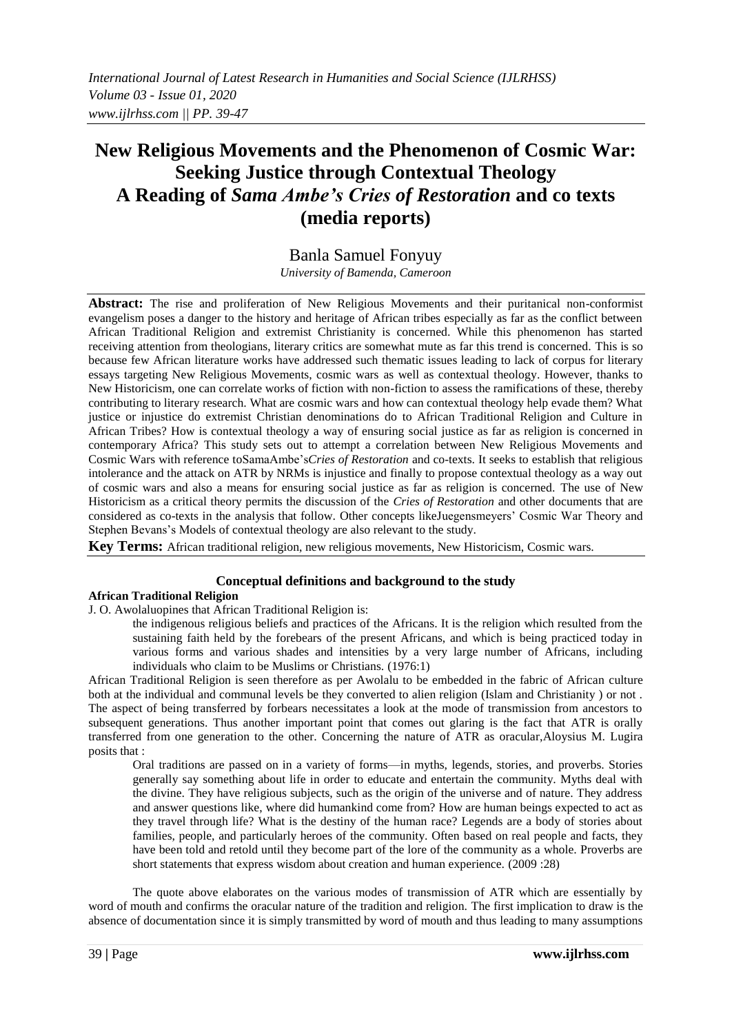# **New Religious Movements and the Phenomenon of Cosmic War: Seeking Justice through Contextual Theology A Reading of** *Sama Ambe's Cries of Restoration* **and co texts (media reports)**

# Banla Samuel Fonyuy

*University of Bamenda, Cameroon*

**Abstract:** The rise and proliferation of New Religious Movements and their puritanical non-conformist evangelism poses a danger to the history and heritage of African tribes especially as far as the conflict between African Traditional Religion and extremist Christianity is concerned. While this phenomenon has started receiving attention from theologians, literary critics are somewhat mute as far this trend is concerned. This is so because few African literature works have addressed such thematic issues leading to lack of corpus for literary essays targeting New Religious Movements, cosmic wars as well as contextual theology. However, thanks to New Historicism, one can correlate works of fiction with non-fiction to assess the ramifications of these, thereby contributing to literary research. What are cosmic wars and how can contextual theology help evade them? What justice or injustice do extremist Christian denominations do to African Traditional Religion and Culture in African Tribes? How is contextual theology a way of ensuring social justice as far as religion is concerned in contemporary Africa? This study sets out to attempt a correlation between New Religious Movements and Cosmic Wars with reference toSamaAmbe's*Cries of Restoration* and co-texts. It seeks to establish that religious intolerance and the attack on ATR by NRMs is injustice and finally to propose contextual theology as a way out of cosmic wars and also a means for ensuring social justice as far as religion is concerned. The use of New Historicism as a critical theory permits the discussion of the *Cries of Restoration* and other documents that are considered as co-texts in the analysis that follow. Other concepts likeJuegensmeyers' Cosmic War Theory and Stephen Bevans's Models of contextual theology are also relevant to the study.

**Key Terms:** African traditional religion, new religious movements, New Historicism, Cosmic wars.

## **Conceptual definitions and background to the study**

## **African Traditional Religion**

J. O. Awolaluopines that African Traditional Religion is:

the indigenous religious beliefs and practices of the Africans. It is the religion which resulted from the sustaining faith held by the forebears of the present Africans, and which is being practiced today in various forms and various shades and intensities by a very large number of Africans, including individuals who claim to be Muslims or Christians. (1976:1)

African Traditional Religion is seen therefore as per Awolalu to be embedded in the fabric of African culture both at the individual and communal levels be they converted to alien religion (Islam and Christianity ) or not . The aspect of being transferred by forbears necessitates a look at the mode of transmission from ancestors to subsequent generations. Thus another important point that comes out glaring is the fact that ATR is orally transferred from one generation to the other. Concerning the nature of ATR as oracular,Aloysius M. Lugira posits that :

Oral traditions are passed on in a variety of forms—in myths, legends, stories, and proverbs. Stories generally say something about life in order to educate and entertain the community. Myths deal with the divine. They have religious subjects, such as the origin of the universe and of nature. They address and answer questions like, where did humankind come from? How are human beings expected to act as they travel through life? What is the destiny of the human race? Legends are a body of stories about families, people, and particularly heroes of the community. Often based on real people and facts, they have been told and retold until they become part of the lore of the community as a whole. Proverbs are short statements that express wisdom about creation and human experience. (2009 :28)

The quote above elaborates on the various modes of transmission of ATR which are essentially by word of mouth and confirms the oracular nature of the tradition and religion. The first implication to draw is the absence of documentation since it is simply transmitted by word of mouth and thus leading to many assumptions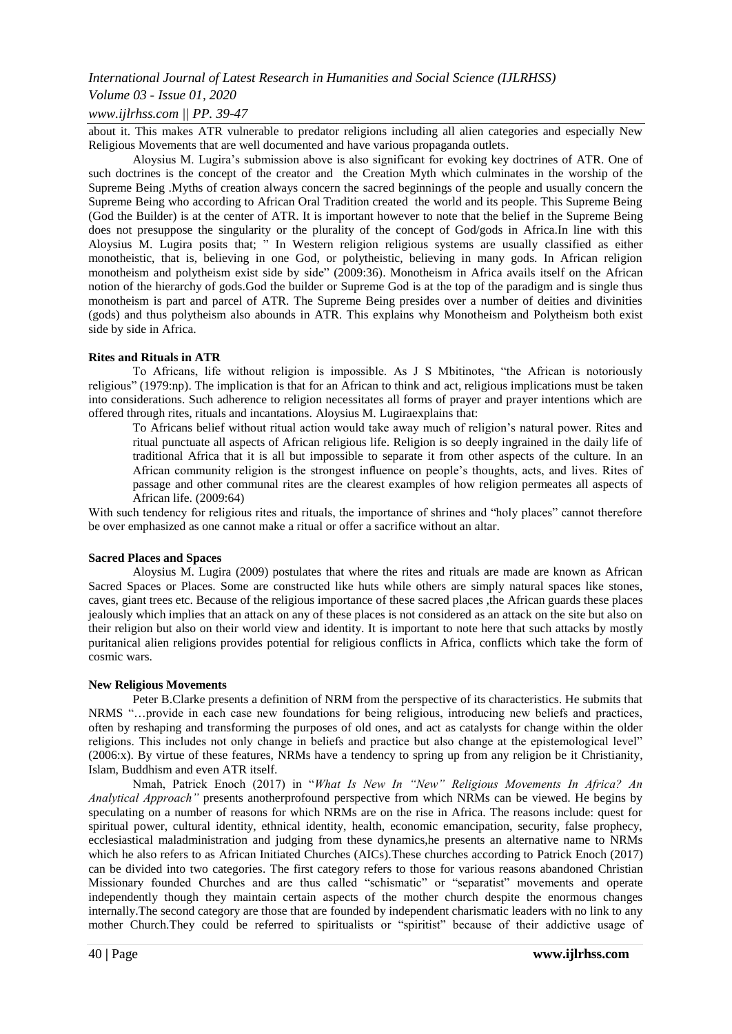## *Volume 03 - Issue 01, 2020*

## *www.ijlrhss.com || PP. 39-47*

about it. This makes ATR vulnerable to predator religions including all alien categories and especially New Religious Movements that are well documented and have various propaganda outlets.

Aloysius M. Lugira's submission above is also significant for evoking key doctrines of ATR. One of such doctrines is the concept of the creator and the Creation Myth which culminates in the worship of the Supreme Being .Myths of creation always concern the sacred beginnings of the people and usually concern the Supreme Being who according to African Oral Tradition created the world and its people. This Supreme Being (God the Builder) is at the center of ATR. It is important however to note that the belief in the Supreme Being does not presuppose the singularity or the plurality of the concept of God/gods in Africa.In line with this Aloysius M. Lugira posits that; ‖ In Western religion religious systems are usually classified as either monotheistic, that is, believing in one God, or polytheistic, believing in many gods. In African religion monotheism and polytheism exist side by side" (2009:36). Monotheism in Africa avails itself on the African notion of the hierarchy of gods.God the builder or Supreme God is at the top of the paradigm and is single thus monotheism is part and parcel of ATR. The Supreme Being presides over a number of deities and divinities (gods) and thus polytheism also abounds in ATR. This explains why Monotheism and Polytheism both exist side by side in Africa.

### **Rites and Rituals in ATR**

To Africans, life without religion is impossible. As J S Mbitinotes, "the African is notoriously religious" (1979:np). The implication is that for an African to think and act, religious implications must be taken into considerations. Such adherence to religion necessitates all forms of prayer and prayer intentions which are offered through rites, rituals and incantations. Aloysius M. Lugiraexplains that:

To Africans belief without ritual action would take away much of religion's natural power. Rites and ritual punctuate all aspects of African religious life. Religion is so deeply ingrained in the daily life of traditional Africa that it is all but impossible to separate it from other aspects of the culture. In an African community religion is the strongest influence on people's thoughts, acts, and lives. Rites of passage and other communal rites are the clearest examples of how religion permeates all aspects of African life. (2009:64)

With such tendency for religious rites and rituals, the importance of shrines and "holy places" cannot therefore be over emphasized as one cannot make a ritual or offer a sacrifice without an altar.

### **Sacred Places and Spaces**

Aloysius M. Lugira (2009) postulates that where the rites and rituals are made are known as African Sacred Spaces or Places. Some are constructed like huts while others are simply natural spaces like stones, caves, giant trees etc. Because of the religious importance of these sacred places ,the African guards these places jealously which implies that an attack on any of these places is not considered as an attack on the site but also on their religion but also on their world view and identity. It is important to note here that such attacks by mostly puritanical alien religions provides potential for religious conflicts in Africa, conflicts which take the form of cosmic wars.

### **New Religious Movements**

Peter B.Clarke presents a definition of NRM from the perspective of its characteristics. He submits that NRMS "...provide in each case new foundations for being religious, introducing new beliefs and practices, often by reshaping and transforming the purposes of old ones, and act as catalysts for change within the older religions. This includes not only change in beliefs and practice but also change at the epistemological level" (2006:x). By virtue of these features, NRMs have a tendency to spring up from any religion be it Christianity, Islam, Buddhism and even ATR itself.

Nmah, Patrick Enoch (2017) in "What Is New In "New" Religious Movements In Africa? An *Analytical Approach"* presents anotherprofound perspective from which NRMs can be viewed. He begins by speculating on a number of reasons for which NRMs are on the rise in Africa. The reasons include: quest for spiritual power, cultural identity, ethnical identity, health, economic emancipation, security, false prophecy, ecclesiastical maladministration and judging from these dynamics,he presents an alternative name to NRMs which he also refers to as African Initiated Churches (AICs). These churches according to Patrick Enoch (2017) can be divided into two categories. The first category refers to those for various reasons abandoned Christian Missionary founded Churches and are thus called "schismatic" or "separatist" movements and operate independently though they maintain certain aspects of the mother church despite the enormous changes internally.The second category are those that are founded by independent charismatic leaders with no link to any mother Church.They could be referred to spiritualists or "spiritist" because of their addictive usage of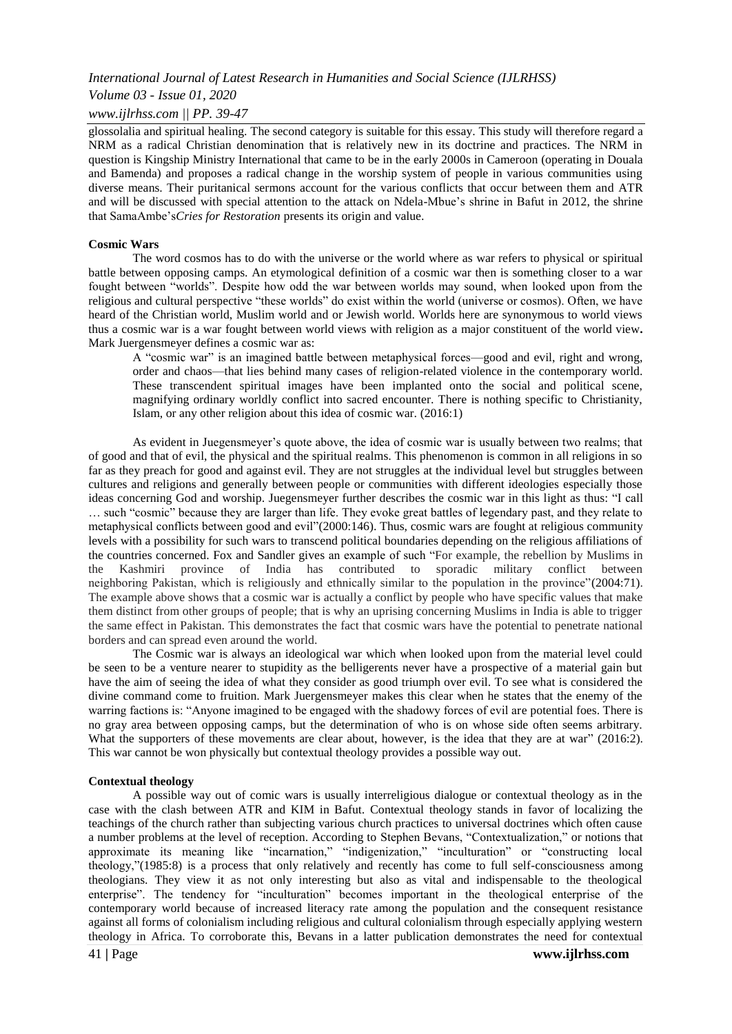### *Volume 03 - Issue 01, 2020*

### *www.ijlrhss.com || PP. 39-47*

glossolalia and spiritual healing. The second category is suitable for this essay. This study will therefore regard a NRM as a radical Christian denomination that is relatively new in its doctrine and practices. The NRM in question is Kingship Ministry International that came to be in the early 2000s in Cameroon (operating in Douala and Bamenda) and proposes a radical change in the worship system of people in various communities using diverse means. Their puritanical sermons account for the various conflicts that occur between them and ATR and will be discussed with special attention to the attack on Ndela-Mbue's shrine in Bafut in 2012, the shrine that SamaAmbe's*Cries for Restoration* presents its origin and value.

### **Cosmic Wars**

The word cosmos has to do with the universe or the world where as war refers to physical or spiritual battle between opposing camps. An etymological definition of a cosmic war then is something closer to a war fought between "worlds". Despite how odd the war between worlds may sound, when looked upon from the religious and cultural perspective "these worlds" do exist within the world (universe or cosmos). Often, we have heard of the Christian world, Muslim world and or Jewish world. Worlds here are synonymous to world views thus a cosmic war is a war fought between world views with religion as a major constituent of the world view**.**  Mark Juergensmeyer defines a cosmic war as:

A "cosmic war" is an imagined battle between metaphysical forces—good and evil, right and wrong, order and chaos—that lies behind many cases of religion-related violence in the contemporary world. These transcendent spiritual images have been implanted onto the social and political scene, magnifying ordinary worldly conflict into sacred encounter. There is nothing specific to Christianity, Islam, or any other religion about this idea of cosmic war. (2016:1)

As evident in Juegensmeyer's quote above, the idea of cosmic war is usually between two realms; that of good and that of evil, the physical and the spiritual realms. This phenomenon is common in all religions in so far as they preach for good and against evil. They are not struggles at the individual level but struggles between cultures and religions and generally between people or communities with different ideologies especially those ideas concerning God and worship. Juegensmeyer further describes the cosmic war in this light as thus: "I call … such "cosmic" because they are larger than life. They evoke great battles of legendary past, and they relate to metaphysical conflicts between good and evil"(2000:146). Thus, cosmic wars are fought at religious community levels with a possibility for such wars to transcend political boundaries depending on the religious affiliations of the countries concerned. Fox and Sandler gives an example of such "For example, the rebellion by Muslims in the Kashmiri province of India has contributed to sporadic military conflict between neighboring Pakistan, which is religiously and ethnically similar to the population in the province"(2004:71). The example above shows that a cosmic war is actually a conflict by people who have specific values that make them distinct from other groups of people; that is why an uprising concerning Muslims in India is able to trigger the same effect in Pakistan. This demonstrates the fact that cosmic wars have the potential to penetrate national borders and can spread even around the world.

The Cosmic war is always an ideological war which when looked upon from the material level could be seen to be a venture nearer to stupidity as the belligerents never have a prospective of a material gain but have the aim of seeing the idea of what they consider as good triumph over evil. To see what is considered the divine command come to fruition. Mark Juergensmeyer makes this clear when he states that the enemy of the warring factions is: "Anyone imagined to be engaged with the shadowy forces of evil are potential foes. There is no gray area between opposing camps, but the determination of who is on whose side often seems arbitrary. What the supporters of these movements are clear about, however, is the idea that they are at war" (2016:2). This war cannot be won physically but contextual theology provides a possible way out.

#### **Contextual theology**

A possible way out of comic wars is usually interreligious dialogue or contextual theology as in the case with the clash between ATR and KIM in Bafut. Contextual theology stands in favor of localizing the teachings of the church rather than subjecting various church practices to universal doctrines which often cause a number problems at the level of reception. According to Stephen Bevans, "Contextualization," or notions that approximate its meaning like "incarnation," "indigenization," "inculturation" or "constructing local theology,"(1985:8) is a process that only relatively and recently has come to full self-consciousness among theologians. They view it as not only interesting but also as vital and indispensable to the theological enterprise". The tendency for "inculturation" becomes important in the theological enterprise of the contemporary world because of increased literacy rate among the population and the consequent resistance against all forms of colonialism including religious and cultural colonialism through especially applying western theology in Africa. To corroborate this, Bevans in a latter publication demonstrates the need for contextual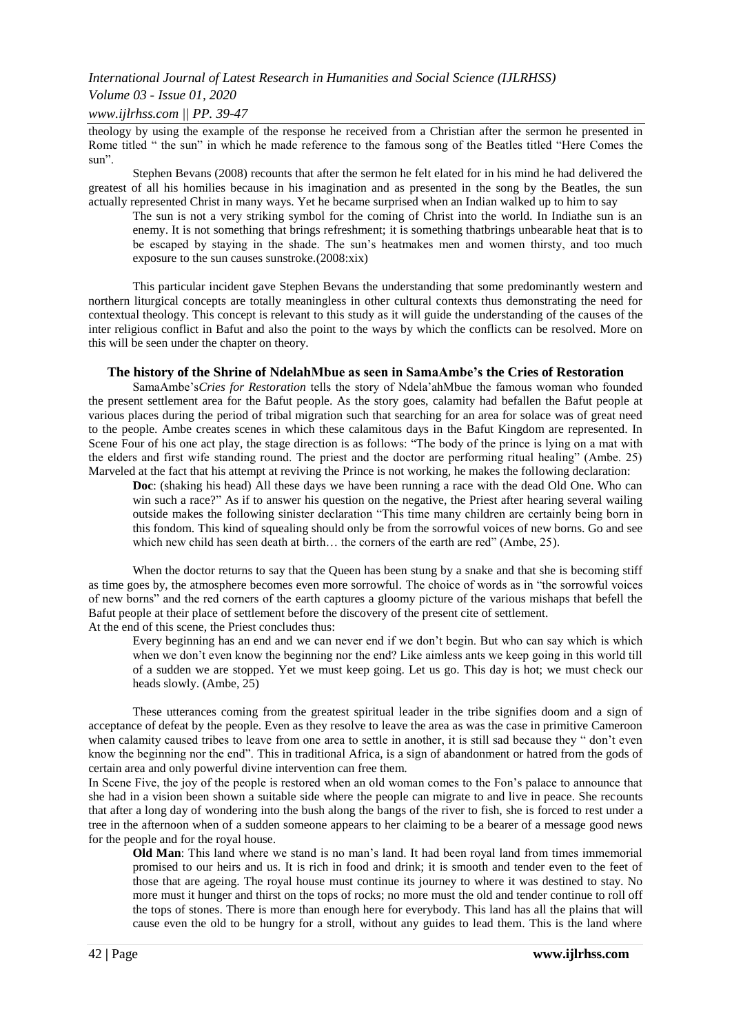## *Volume 03 - Issue 01, 2020*

### *www.ijlrhss.com || PP. 39-47*

theology by using the example of the response he received from a Christian after the sermon he presented in Rome titled " the sun" in which he made reference to the famous song of the Beatles titled "Here Comes the sun".

Stephen Bevans (2008) recounts that after the sermon he felt elated for in his mind he had delivered the greatest of all his homilies because in his imagination and as presented in the song by the Beatles, the sun actually represented Christ in many ways. Yet he became surprised when an Indian walked up to him to say

The sun is not a very striking symbol for the coming of Christ into the world. In Indiathe sun is an enemy. It is not something that brings refreshment; it is something thatbrings unbearable heat that is to be escaped by staying in the shade. The sun's heatmakes men and women thirsty, and too much exposure to the sun causes sunstroke.(2008:xix)

This particular incident gave Stephen Bevans the understanding that some predominantly western and northern liturgical concepts are totally meaningless in other cultural contexts thus demonstrating the need for contextual theology. This concept is relevant to this study as it will guide the understanding of the causes of the inter religious conflict in Bafut and also the point to the ways by which the conflicts can be resolved. More on this will be seen under the chapter on theory.

### **The history of the Shrine of NdelahMbue as seen in SamaAmbe's the Cries of Restoration**

SamaAmbe's*Cries for Restoration* tells the story of Ndela'ahMbue the famous woman who founded the present settlement area for the Bafut people. As the story goes, calamity had befallen the Bafut people at various places during the period of tribal migration such that searching for an area for solace was of great need to the people. Ambe creates scenes in which these calamitous days in the Bafut Kingdom are represented. In Scene Four of his one act play, the stage direction is as follows: "The body of the prince is lying on a mat with the elders and first wife standing round. The priest and the doctor are performing ritual healing" (Ambe. 25) Marveled at the fact that his attempt at reviving the Prince is not working, he makes the following declaration:

**Doc**: (shaking his head) All these days we have been running a race with the dead Old One. Who can win such a race?" As if to answer his question on the negative, the Priest after hearing several wailing outside makes the following sinister declaration "This time many children are certainly being born in this fondom. This kind of squealing should only be from the sorrowful voices of new borns. Go and see which new child has seen death at birth... the corners of the earth are red" (Ambe, 25).

When the doctor returns to say that the Queen has been stung by a snake and that she is becoming stiff as time goes by, the atmosphere becomes even more sorrowful. The choice of words as in "the sorrowful voices" of new borns‖ and the red corners of the earth captures a gloomy picture of the various mishaps that befell the Bafut people at their place of settlement before the discovery of the present cite of settlement. At the end of this scene, the Priest concludes thus:

Every beginning has an end and we can never end if we don't begin. But who can say which is which when we don't even know the beginning nor the end? Like aimless ants we keep going in this world till of a sudden we are stopped. Yet we must keep going. Let us go. This day is hot; we must check our heads slowly. (Ambe, 25)

These utterances coming from the greatest spiritual leader in the tribe signifies doom and a sign of acceptance of defeat by the people. Even as they resolve to leave the area as was the case in primitive Cameroon when calamity caused tribes to leave from one area to settle in another, it is still sad because they "don't even know the beginning nor the end". This in traditional Africa, is a sign of abandonment or hatred from the gods of certain area and only powerful divine intervention can free them.

In Scene Five, the joy of the people is restored when an old woman comes to the Fon's palace to announce that she had in a vision been shown a suitable side where the people can migrate to and live in peace. She recounts that after a long day of wondering into the bush along the bangs of the river to fish, she is forced to rest under a tree in the afternoon when of a sudden someone appears to her claiming to be a bearer of a message good news for the people and for the royal house.

**Old Man**: This land where we stand is no man's land. It had been royal land from times immemorial promised to our heirs and us. It is rich in food and drink; it is smooth and tender even to the feet of those that are ageing. The royal house must continue its journey to where it was destined to stay. No more must it hunger and thirst on the tops of rocks; no more must the old and tender continue to roll off the tops of stones. There is more than enough here for everybody. This land has all the plains that will cause even the old to be hungry for a stroll, without any guides to lead them. This is the land where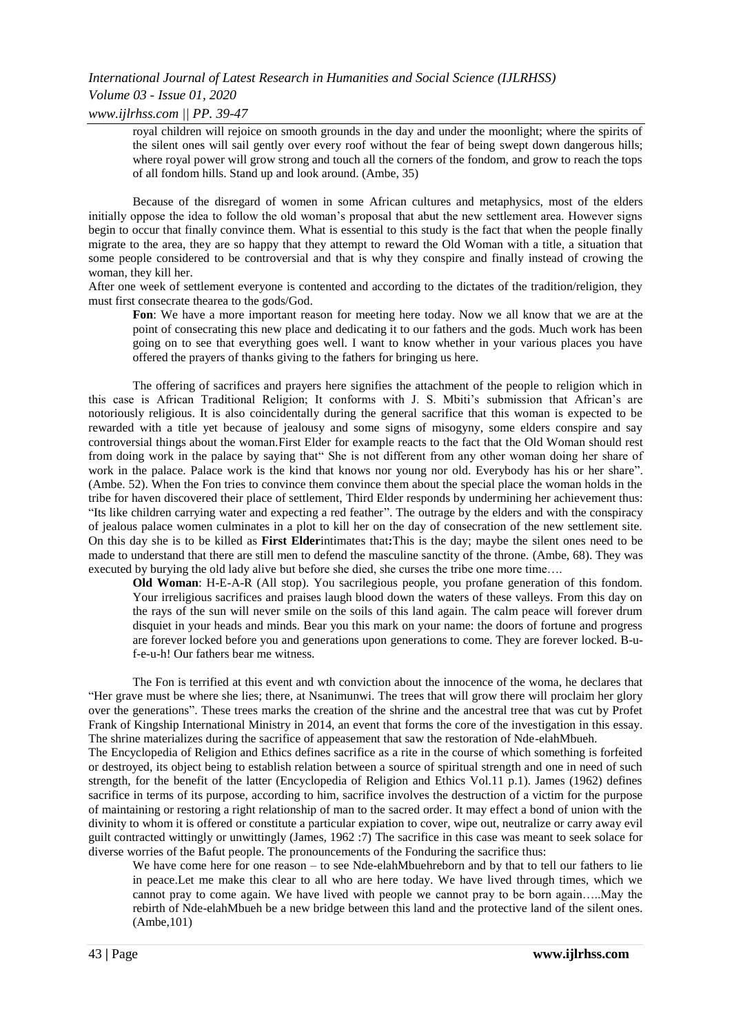## *International Journal of Latest Research in Humanities and Social Science (IJLRHSS) Volume 03 - Issue 01, 2020*

*www.ijlrhss.com || PP. 39-47*

royal children will rejoice on smooth grounds in the day and under the moonlight; where the spirits of the silent ones will sail gently over every roof without the fear of being swept down dangerous hills; where royal power will grow strong and touch all the corners of the fondom, and grow to reach the tops of all fondom hills. Stand up and look around. (Ambe, 35)

Because of the disregard of women in some African cultures and metaphysics, most of the elders initially oppose the idea to follow the old woman's proposal that abut the new settlement area. However signs begin to occur that finally convince them. What is essential to this study is the fact that when the people finally migrate to the area, they are so happy that they attempt to reward the Old Woman with a title, a situation that some people considered to be controversial and that is why they conspire and finally instead of crowing the woman, they kill her.

After one week of settlement everyone is contented and according to the dictates of the tradition/religion, they must first consecrate thearea to the gods/God.

Fon: We have a more important reason for meeting here today. Now we all know that we are at the point of consecrating this new place and dedicating it to our fathers and the gods. Much work has been going on to see that everything goes well. I want to know whether in your various places you have offered the prayers of thanks giving to the fathers for bringing us here.

The offering of sacrifices and prayers here signifies the attachment of the people to religion which in this case is African Traditional Religion; It conforms with J. S. Mbiti's submission that African's are notoriously religious. It is also coincidentally during the general sacrifice that this woman is expected to be rewarded with a title yet because of jealousy and some signs of misogyny, some elders conspire and say controversial things about the woman.First Elder for example reacts to the fact that the Old Woman should rest from doing work in the palace by saying that" She is not different from any other woman doing her share of work in the palace. Palace work is the kind that knows nor young nor old. Everybody has his or her share". (Ambe. 52). When the Fon tries to convince them convince them about the special place the woman holds in the tribe for haven discovered their place of settlement, Third Elder responds by undermining her achievement thus: "Its like children carrying water and expecting a red feather". The outrage by the elders and with the conspiracy of jealous palace women culminates in a plot to kill her on the day of consecration of the new settlement site. On this day she is to be killed as **First Elder**intimates that**:**This is the day; maybe the silent ones need to be made to understand that there are still men to defend the masculine sanctity of the throne. (Ambe, 68). They was executed by burying the old lady alive but before she died, she curses the tribe one more time….

**Old Woman**: H-E-A-R (All stop). You sacrilegious people, you profane generation of this fondom. Your irreligious sacrifices and praises laugh blood down the waters of these valleys. From this day on the rays of the sun will never smile on the soils of this land again. The calm peace will forever drum disquiet in your heads and minds. Bear you this mark on your name: the doors of fortune and progress are forever locked before you and generations upon generations to come. They are forever locked. B-uf-e-u-h! Our fathers bear me witness.

The Fon is terrified at this event and wth conviction about the innocence of the woma, he declares that ―Her grave must be where she lies; there, at Nsanimunwi. The trees that will grow there will proclaim her glory over the generations". These trees marks the creation of the shrine and the ancestral tree that was cut by Profet Frank of Kingship International Ministry in 2014, an event that forms the core of the investigation in this essay. The shrine materializes during the sacrifice of appeasement that saw the restoration of Nde-elahMbueh.

The Encyclopedia of Religion and Ethics defines sacrifice as a rite in the course of which something is forfeited or destroyed, its object being to establish relation between a source of spiritual strength and one in need of such strength, for the benefit of the latter (Encyclopedia of Religion and Ethics Vol.11 p.1). James (1962) defines sacrifice in terms of its purpose, according to him, sacrifice involves the destruction of a victim for the purpose of maintaining or restoring a right relationship of man to the sacred order. It may effect a bond of union with the divinity to whom it is offered or constitute a particular expiation to cover, wipe out, neutralize or carry away evil guilt contracted wittingly or unwittingly (James, 1962 :7) The sacrifice in this case was meant to seek solace for diverse worries of the Bafut people. The pronouncements of the Fonduring the sacrifice thus:

We have come here for one reason – to see Nde-elahMbuehreborn and by that to tell our fathers to lie in peace.Let me make this clear to all who are here today. We have lived through times, which we cannot pray to come again. We have lived with people we cannot pray to be born again…..May the rebirth of Nde-elahMbueh be a new bridge between this land and the protective land of the silent ones. (Ambe,101)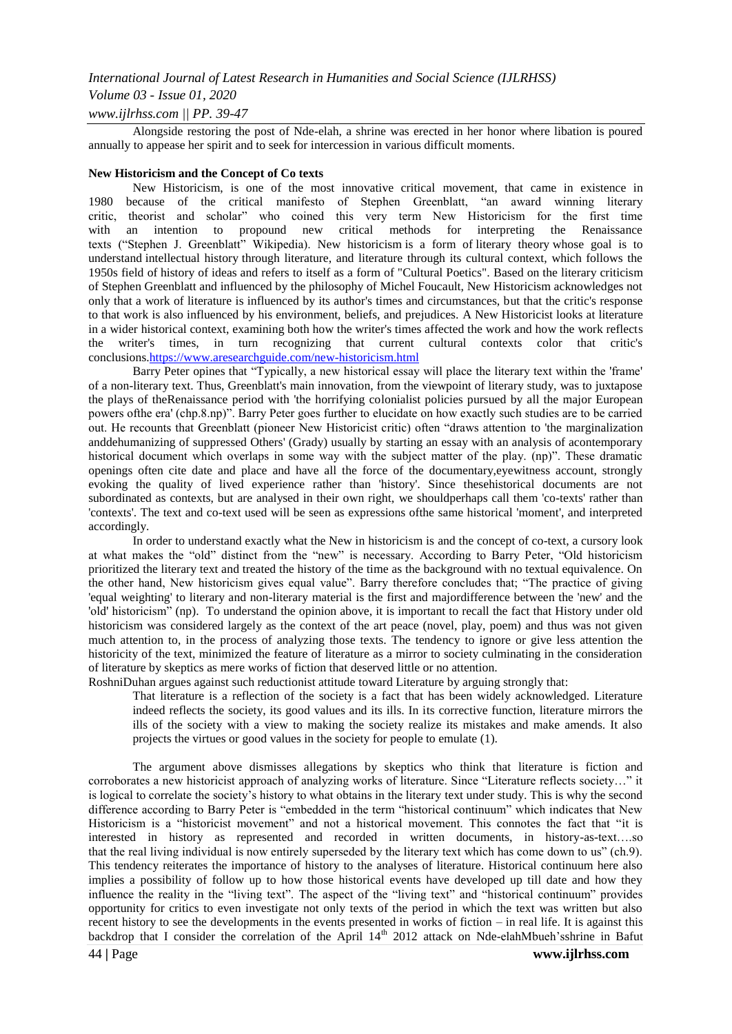## *Volume 03 - Issue 01, 2020*

## *www.ijlrhss.com || PP. 39-47*

Alongside restoring the post of Nde-elah, a shrine was erected in her honor where libation is poured annually to appease her spirit and to seek for intercession in various difficult moments.

### **New Historicism and the Concept of Co texts**

New Historicism, is one of the most innovative critical movement, that came in existence in 1980 because of the critical manifesto of Stephen Greenblatt, "an award winning literary critic, theorist and scholar‖ who coined this very term New Historicism for the first time with an intention to propound new critical methods for interpreting the Renaissance texts ("Stephen J. Greenblatt" Wikipedia). New historicism is a form of literary theory whose goal is to understand intellectual history through literature, and literature through its cultural context, which follows the 1950s field of history of ideas and refers to itself as a form of "Cultural Poetics". Based on the literary criticism of Stephen Greenblatt and influenced by the philosophy of Michel Foucault, New Historicism acknowledges not only that a work of literature is influenced by its author's times and circumstances, but that the critic's response to that work is also influenced by his environment, beliefs, and prejudices. A New Historicist looks at literature in a wider historical context, examining both how the writer's times affected the work and how the work reflects the writer's times, in turn recognizing that current cultural contexts color that critic's conclusion[s.https://www.aresearchguide.com/new-historicism.html](https://www.aresearchguide.com/new-historicism.html)

Barry Peter opines that "Typically, a new historical essay will place the literary text within the 'frame' of a non-literary text. Thus, Greenblatt's main innovation, from the viewpoint of literary study, was to juxtapose the plays of theRenaissance period with 'the horrifying colonialist policies pursued by all the major European powers of the era' (chp.8.np)". Barry Peter goes further to elucidate on how exactly such studies are to be carried out. He recounts that Greenblatt (pioneer New Historicist critic) often "draws attention to 'the marginalization anddehumanizing of suppressed Others' (Grady) usually by starting an essay with an analysis of acontemporary historical document which overlaps in some way with the subject matter of the play. (np)". These dramatic openings often cite date and place and have all the force of the documentary,eyewitness account, strongly evoking the quality of lived experience rather than 'history'. Since thesehistorical documents are not subordinated as contexts, but are analysed in their own right, we shouldperhaps call them 'co-texts' rather than 'contexts'. The text and co-text used will be seen as expressions ofthe same historical 'moment', and interpreted accordingly.

In order to understand exactly what the New in historicism is and the concept of co-text, a cursory look at what makes the "old" distinct from the "new" is necessary. According to Barry Peter, "Old historicism" prioritized the literary text and treated the history of the time as the background with no textual equivalence. On the other hand, New historicism gives equal value". Barry therefore concludes that; "The practice of giving 'equal weighting' to literary and non-literary material is the first and majordifference between the 'new' and the 'old' historicism‖ (np). To understand the opinion above, it is important to recall the fact that History under old historicism was considered largely as the context of the art peace (novel, play, poem) and thus was not given much attention to, in the process of analyzing those texts. The tendency to ignore or give less attention the historicity of the text, minimized the feature of literature as a mirror to society culminating in the consideration of literature by skeptics as mere works of fiction that deserved little or no attention.

RoshniDuhan argues against such reductionist attitude toward Literature by arguing strongly that:

That literature is a reflection of the society is a fact that has been widely acknowledged. Literature indeed reflects the society, its good values and its ills. In its corrective function, literature mirrors the ills of the society with a view to making the society realize its mistakes and make amends. It also projects the virtues or good values in the society for people to emulate (1).

The argument above dismisses allegations by skeptics who think that literature is fiction and corroborates a new historicist approach of analyzing works of literature. Since "Literature reflects society..." it is logical to correlate the society's history to what obtains in the literary text under study. This is why the second difference according to Barry Peter is "embedded in the term "historical continuum" which indicates that New Historicism is a "historicist movement" and not a historical movement. This connotes the fact that "it is interested in history as represented and recorded in written documents, in history-as-text….so that the real living individual is now entirely superseded by the literary text which has come down to us" (ch.9). This tendency reiterates the importance of history to the analyses of literature. Historical continuum here also implies a possibility of follow up to how those historical events have developed up till date and how they influence the reality in the "living text". The aspect of the "living text" and "historical continuum" provides opportunity for critics to even investigate not only texts of the period in which the text was written but also recent history to see the developments in the events presented in works of fiction – in real life. It is against this backdrop that I consider the correlation of the April  $14<sup>th</sup>$  2012 attack on Nde-elahMbueh'sshrine in Bafut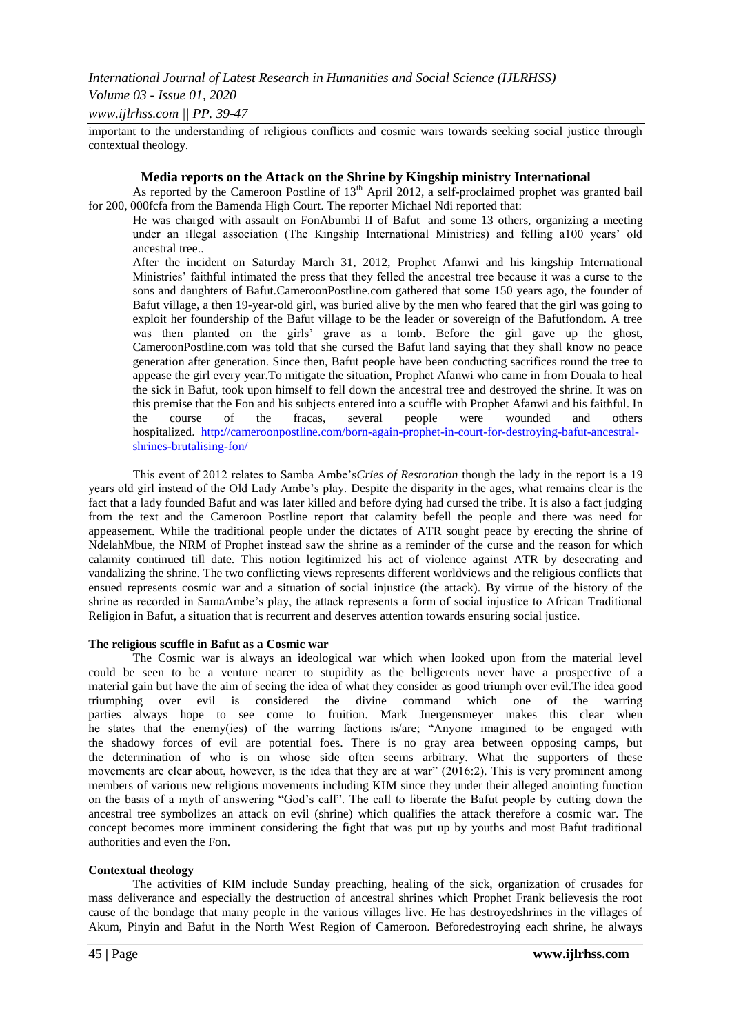## *Volume 03 - Issue 01, 2020*

## *www.ijlrhss.com || PP. 39-47*

important to the understanding of religious conflicts and cosmic wars towards seeking social justice through contextual theology.

### **Media reports on the Attack on the Shrine by Kingship ministry International**

As reported by the Cameroon Postline of 13<sup>th</sup> April 2012, a self-proclaimed prophet was granted bail for 200, 000fcfa from the Bamenda High Court. The reporter Michael Ndi reported that:

He was charged with assault on FonAbumbi II of Bafut and some 13 others, organizing a meeting under an illegal association (The Kingship International Ministries) and felling a100 years' old ancestral tree..

After the incident on Saturday March 31, 2012, Prophet Afanwi and his kingship International Ministries' faithful intimated the press that they felled the ancestral tree because it was a curse to the sons and daughters of Bafut.CameroonPostline.com gathered that some 150 years ago, the founder of Bafut village, a then 19-year-old girl, was buried alive by the men who feared that the girl was going to exploit her foundership of the Bafut village to be the leader or sovereign of the Bafutfondom. A tree was then planted on the girls' grave as a tomb. Before the girl gave up the ghost, CameroonPostline.com was told that she cursed the Bafut land saying that they shall know no peace generation after generation. Since then, Bafut people have been conducting sacrifices round the tree to appease the girl every year.To mitigate the situation, Prophet Afanwi who came in from Douala to heal the sick in Bafut, took upon himself to fell down the ancestral tree and destroyed the shrine. It was on this premise that the Fon and his subjects entered into a scuffle with Prophet Afanwi and his faithful. In the course of the fracas, several people were wounded and others hospitalized. [http://cameroonpostline.com/born-again-prophet-in-court-for-destroying-bafut-ancestral](http://cameroonpostline.com/born-again-prophet-in-court-for-destroying-bafut-ancestral-shrines-brutalising-fon/)[shrines-brutalising-fon/](http://cameroonpostline.com/born-again-prophet-in-court-for-destroying-bafut-ancestral-shrines-brutalising-fon/)

This event of 2012 relates to Samba Ambe's*Cries of Restoration* though the lady in the report is a 19 years old girl instead of the Old Lady Ambe's play. Despite the disparity in the ages, what remains clear is the fact that a lady founded Bafut and was later killed and before dying had cursed the tribe. It is also a fact judging from the text and the Cameroon Postline report that calamity befell the people and there was need for appeasement. While the traditional people under the dictates of ATR sought peace by erecting the shrine of NdelahMbue, the NRM of Prophet instead saw the shrine as a reminder of the curse and the reason for which calamity continued till date. This notion legitimized his act of violence against ATR by desecrating and vandalizing the shrine. The two conflicting views represents different worldviews and the religious conflicts that ensued represents cosmic war and a situation of social injustice (the attack). By virtue of the history of the shrine as recorded in SamaAmbe's play, the attack represents a form of social injustice to African Traditional Religion in Bafut, a situation that is recurrent and deserves attention towards ensuring social justice.

### **The religious scuffle in Bafut as a Cosmic war**

The Cosmic war is always an ideological war which when looked upon from the material level could be seen to be a venture nearer to stupidity as the belligerents never have a prospective of a material gain but have the aim of seeing the idea of what they consider as good triumph over evil.The idea good triumphing over evil is considered the divine command which one of the warring parties always hope to see come to fruition. Mark Juergensmeyer makes this clear when he states that the enemy(ies) of the warring factions is/are; "Anyone imagined to be engaged with the shadowy forces of evil are potential foes. There is no gray area between opposing camps, but the determination of who is on whose side often seems arbitrary. What the supporters of these movements are clear about, however, is the idea that they are at war" (2016:2). This is very prominent among members of various new religious movements including KIM since they under their alleged anointing function on the basis of a myth of answering "God's call". The call to liberate the Bafut people by cutting down the ancestral tree symbolizes an attack on evil (shrine) which qualifies the attack therefore a cosmic war. The concept becomes more imminent considering the fight that was put up by youths and most Bafut traditional authorities and even the Fon.

### **Contextual theology**

The activities of KIM include Sunday preaching, healing of the sick, organization of crusades for mass deliverance and especially the destruction of ancestral shrines which Prophet Frank believesis the root cause of the bondage that many people in the various villages live. He has destroyedshrines in the villages of Akum, Pinyin and Bafut in the North West Region of Cameroon. Beforedestroying each shrine, he always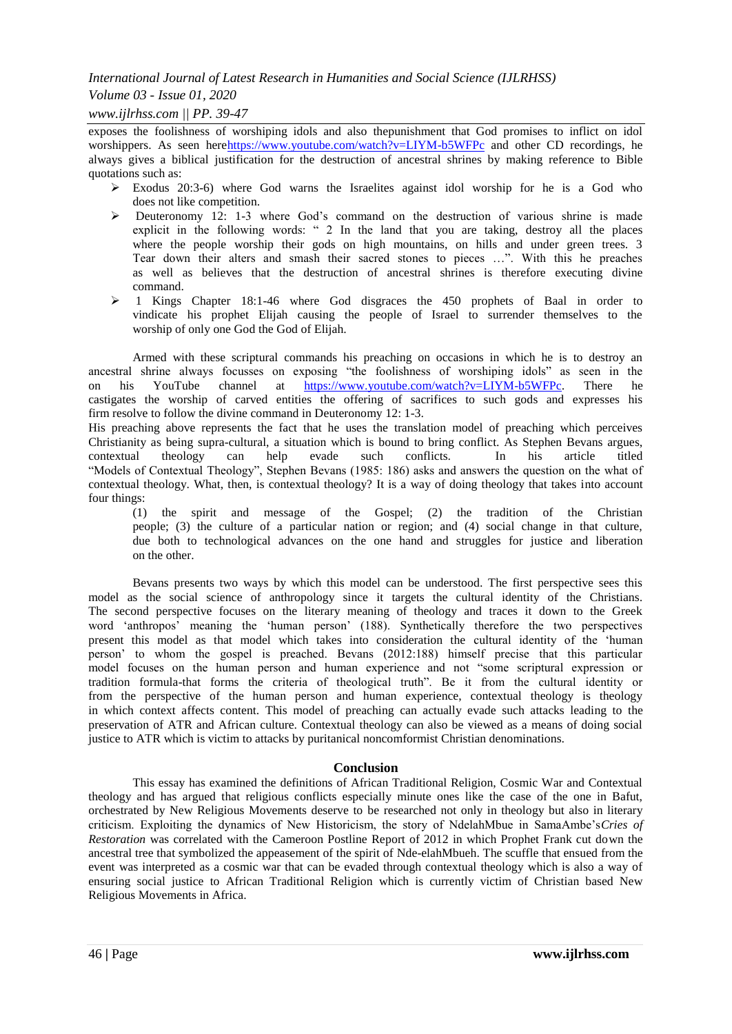## *Volume 03 - Issue 01, 2020*

## *www.ijlrhss.com || PP. 39-47*

exposes the foolishness of worshiping idols and also thepunishment that God promises to inflict on idol worshippers. As seen her[ehttps://www.youtube.com/watch?v=LIYM-b5WFPc](https://www.youtube.com/watch?v=LIYM-b5WFPc%20) and other CD recordings, he always gives a biblical justification for the destruction of ancestral shrines by making reference to Bible quotations such as:

- $\triangleright$  Exodus 20:3-6) where God warns the Israelites against idol worship for he is a God who does not like competition.
- Deuteronomy 12: 1-3 where God's command on the destruction of various shrine is made explicit in the following words: " 2 In the land that you are taking, destroy all the places where the people worship their gods on high mountains, on hills and under green trees. 3 Tear down their alters and smash their sacred stones to pieces ...". With this he preaches as well as believes that the destruction of ancestral shrines is therefore executing divine command.
- $\geq 1$  Kings Chapter 18:1-46 where God disgraces the 450 prophets of Baal in order to vindicate his prophet Elijah causing the people of Israel to surrender themselves to the worship of only one God the God of Elijah.

Armed with these scriptural commands his preaching on occasions in which he is to destroy an ancestral shrine always focusses on exposing "the foolishness of worshiping idols" as seen in the on his YouTube channel at [https://www.youtube.com/watch?v=LIYM-b5WFPc.](https://www.youtube.com/watch?v=LIYM-b5WFPc) There he castigates the worship of carved entities the offering of sacrifices to such gods and expresses his firm resolve to follow the divine command in Deuteronomy 12: 1-3.

His preaching above represents the fact that he uses the translation model of preaching which perceives Christianity as being supra-cultural, a situation which is bound to bring conflict. As Stephen Bevans argues, contextual theology can help evade such conflicts. In his article titled contextual theology can help evade such conflicts. In his article titled "Models of Contextual Theology", Stephen Bevans (1985: 186) asks and answers the question on the what of contextual theology. What, then, is contextual theology? It is a way of doing theology that takes into account four things:

(1) the spirit and message of the Gospel; (2) the tradition of the Christian people; (3) the culture of a particular nation or region; and (4) social change in that culture, due both to technological advances on the one hand and struggles for justice and liberation on the other.

Bevans presents two ways by which this model can be understood. The first perspective sees this model as the social science of anthropology since it targets the cultural identity of the Christians. The second perspective focuses on the literary meaning of theology and traces it down to the Greek word 'anthropos' meaning the 'human person' (188). Synthetically therefore the two perspectives present this model as that model which takes into consideration the cultural identity of the 'human person' to whom the gospel is preached. Bevans (2012:188) himself precise that this particular model focuses on the human person and human experience and not "some scriptural expression or tradition formula-that forms the criteria of theological truth". Be it from the cultural identity or from the perspective of the human person and human experience, contextual theology is theology in which context affects content. This model of preaching can actually evade such attacks leading to the preservation of ATR and African culture. Contextual theology can also be viewed as a means of doing social justice to ATR which is victim to attacks by puritanical noncomformist Christian denominations.

### **Conclusion**

This essay has examined the definitions of African Traditional Religion, Cosmic War and Contextual theology and has argued that religious conflicts especially minute ones like the case of the one in Bafut, orchestrated by New Religious Movements deserve to be researched not only in theology but also in literary criticism. Exploiting the dynamics of New Historicism, the story of NdelahMbue in SamaAmbe's*Cries of Restoration* was correlated with the Cameroon Postline Report of 2012 in which Prophet Frank cut down the ancestral tree that symbolized the appeasement of the spirit of Nde-elahMbueh. The scuffle that ensued from the event was interpreted as a cosmic war that can be evaded through contextual theology which is also a way of ensuring social justice to African Traditional Religion which is currently victim of Christian based New Religious Movements in Africa.